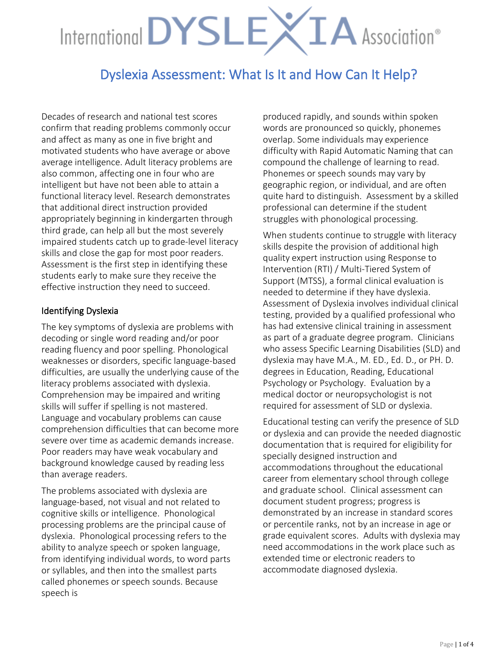# International DYSLEXIA Association®

## Dyslexia Assessment: What Is It and How Can It Help?

Decades of research and national test scores confirm that reading problems commonly occur and affect as many as one in five bright and motivated students who have average or above average intelligence. Adult literacy problems are also common, affecting one in four who are intelligent but have not been able to attain a functional literacy level. Research demonstrates that additional direct instruction provided appropriately beginning in kindergarten through third grade, can help all but the most severely impaired students catch up to grade-level literacy skills and close the gap for most poor readers. Assessment is the first step in identifying these students early to make sure they receive the effective instruction they need to succeed.

#### Identifying Dyslexia

The key symptoms of dyslexia are problems with decoding or single word reading and/or poor reading fluency and poor spelling. Phonological weaknesses or disorders, specific language-based difficulties, are usually the underlying cause of the literacy problems associated with dyslexia. Comprehension may be impaired and writing skills will suffer if spelling is not mastered. Language and vocabulary problems can cause comprehension difficulties that can become more severe over time as academic demands increase. Poor readers may have weak vocabulary and background knowledge caused by reading less than average readers.

The problems associated with dyslexia are language-based, not visual and not related to cognitive skills or intelligence. Phonological processing problems are the principal cause of dyslexia. Phonological processing refers to the ability to analyze speech or spoken language, from identifying individual words, to word parts or syllables, and then into the smallest parts called phonemes or speech sounds. Because speech is

produced rapidly, and sounds within spoken words are pronounced so quickly, phonemes overlap. Some individuals may experience difficulty with Rapid Automatic Naming that can compound the challenge of learning to read. Phonemes or speech sounds may vary by geographic region, or individual, and are often quite hard to distinguish. Assessment by a skilled professional can determine if the student struggles with phonological processing.

When students continue to struggle with literacy skills despite the provision of additional high quality expert instruction using Response to Intervention (RTI) / Multi-Tiered System of Support (MTSS), a formal clinical evaluation is needed to determine if they have dyslexia. Assessment of Dyslexia involves individual clinical testing, provided by a qualified professional who has had extensive clinical training in assessment as part of a graduate degree program. Clinicians who assess Specific Learning Disabilities (SLD) and dyslexia may have M.A., M. ED., Ed. D., or PH. D. degrees in Education, Reading, Educational Psychology or Psychology. Evaluation by a medical doctor or neuropsychologist is not required for assessment of SLD or dyslexia.

Educational testing can verify the presence of SLD or dyslexia and can provide the needed diagnostic documentation that is required for eligibility for specially designed instruction and accommodations throughout the educational career from elementary school through college and graduate school. Clinical assessment can document student progress; progress is demonstrated by an increase in standard scores or percentile ranks, not by an increase in age or grade equivalent scores. Adults with dyslexia may need accommodations in the work place such as extended time or electronic readers to accommodate diagnosed dyslexia.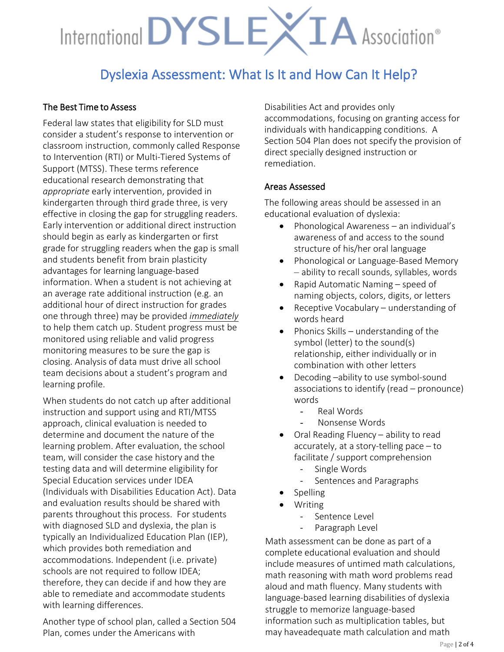# International DYSLEX IA Association®

## Dyslexia Assessment: What Is It and How Can It Help?

### The Best Time to Assess

Federal law states that eligibility for SLD must consider a student's response to intervention or classroom instruction, commonly called Response to Intervention (RTI) or Multi-Tiered Systems of Support (MTSS). These terms reference educational research demonstrating that *appropriate* early intervention, provided in kindergarten through third grade three, is very effective in closing the gap for struggling readers. Early intervention or additional direct instruction should begin as early as kindergarten or first grade for struggling readers when the gap is small and students benefit from brain plasticity advantages for learning language-based information. When a student is not achieving at an average rate additional instruction (e.g. an additional hour of direct instruction for grades one through three) may be provided *immediately* to help them catch up. Student progress must be monitored using reliable and valid progress monitoring measures to be sure the gap is closing. Analysis of data must drive all school team decisions about a student's program and learning profile.

When students do not catch up after additional instruction and support using and RTI/MTSS approach, clinical evaluation is needed to determine and document the nature of the learning problem. After evaluation, the school team, will consider the case history and the testing data and will determine eligibility for Special Education services under IDEA (Individuals with Disabilities Education Act). Data and evaluation results should be shared with parents throughout this process. For students with diagnosed SLD and dyslexia, the plan is typically an Individualized Education Plan (IEP), which provides both remediation and accommodations. Independent (i.e. private) schools are not required to follow IDEA; therefore, they can decide if and how they are able to remediate and accommodate students with learning differences.

Another type of school plan, called a Section 504 Plan, comes under the Americans with

Disabilities Act and provides only accommodations, focusing on granting access for individuals with handicapping conditions. A Section 504 Plan does not specify the provision of direct specially designed instruction or remediation.

### Areas Assessed

The following areas should be assessed in an educational evaluation of dyslexia:

- Phonological Awareness an individual's awareness of and access to the sound structure of his/her oral language
- Phonological or Language-Based Memory – ability to recall sounds, syllables, words
- Rapid Automatic Naming speed of naming objects, colors, digits, or letters
- Receptive Vocabulary understanding of words heard
- Phonics Skills understanding of the symbol (letter) to the sound(s) relationship, either individually or in combination with other letters
- Decoding –ability to use symbol-sound associations to identify (read – pronounce) words
	- Real Words
	- Nonsense Words
- Oral Reading Fluency ability to read accurately, at a story-telling pace – to facilitate / support comprehension
	- Single Words
	- Sentences and Paragraphs
- Spelling
- Writing
	- Sentence Level
	- Paragraph Level

Math assessment can be done as part of a complete educational evaluation and should include measures of untimed math calculations, math reasoning with math word problems read aloud and math fluency. Many students with language-based learning disabilities of dyslexia struggle to memorize language-based information such as multiplication tables, but may haveadequate math calculation and math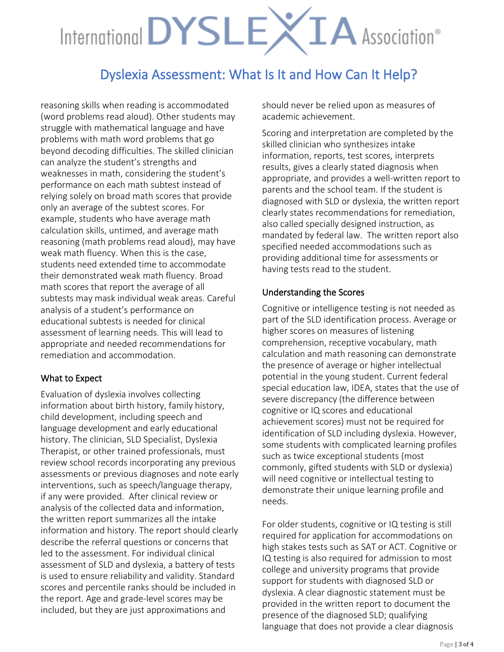# International DYSLEXIA Association®

## Dyslexia Assessment: What Is It and How Can It Help?

reasoning skills when reading is accommodated (word problems read aloud). Other students may struggle with mathematical language and have problems with math word problems that go beyond decoding difficulties. The skilled clinician can analyze the student's strengths and weaknesses in math, considering the student's performance on each math subtest instead of relying solely on broad math scores that provide only an average of the subtest scores. For example, students who have average math calculation skills, untimed, and average math reasoning (math problems read aloud), may have weak math fluency. When this is the case, students need extended time to accommodate their demonstrated weak math fluency. Broad math scores that report the average of all subtests may mask individual weak areas. Careful analysis of a student's performance on educational subtests is needed for clinical assessment of learning needs. This will lead to appropriate and needed recommendations for remediation and accommodation.

#### What to Expect

Evaluation of dyslexia involves collecting information about birth history, family history, child development, including speech and language development and early educational history. The clinician, SLD Specialist, Dyslexia Therapist, or other trained professionals, must review school records incorporating any previous assessments or previous diagnoses and note early interventions, such as speech/language therapy, if any were provided. After clinical review or analysis of the collected data and information, the written report summarizes all the intake information and history. The report should clearly describe the referral questions or concerns that led to the assessment. For individual clinical assessment of SLD and dyslexia, a battery of tests is used to ensure reliability and validity. Standard scores and percentile ranks should be included in the report. Age and grade-level scores may be included, but they are just approximations and

should never be relied upon as measures of academic achievement.

Scoring and interpretation are completed by the skilled clinician who synthesizes intake information, reports, test scores, interprets results, gives a clearly stated diagnosis when appropriate, and provides a well-written report to parents and the school team. If the student is diagnosed with SLD or dyslexia, the written report clearly states recommendations for remediation, also called specially designed instruction, as mandated by federal law. The written report also specified needed accommodations such as providing additional time for assessments or having tests read to the student.

### Understanding the Scores

Cognitive or intelligence testing is not needed as part of the SLD identification process. Average or higher scores on measures of listening comprehension, receptive vocabulary, math calculation and math reasoning can demonstrate the presence of average or higher intellectual potential in the young student. Current federal special education law, IDEA, states that the use of severe discrepancy (the difference between cognitive or IQ scores and educational achievement scores) must not be required for identification of SLD including dyslexia. However, some students with complicated learning profiles such as twice exceptional students (most commonly, gifted students with SLD or dyslexia) will need cognitive or intellectual testing to demonstrate their unique learning profile and needs.

For older students, cognitive or IQ testing is still required for application for accommodations on high stakes tests such as SAT or ACT. Cognitive or IQ testing is also required for admission to most college and university programs that provide support for students with diagnosed SLD or dyslexia. A clear diagnostic statement must be provided in the written report to document the presence of the diagnosed SLD; qualifying language that does not provide a clear diagnosis